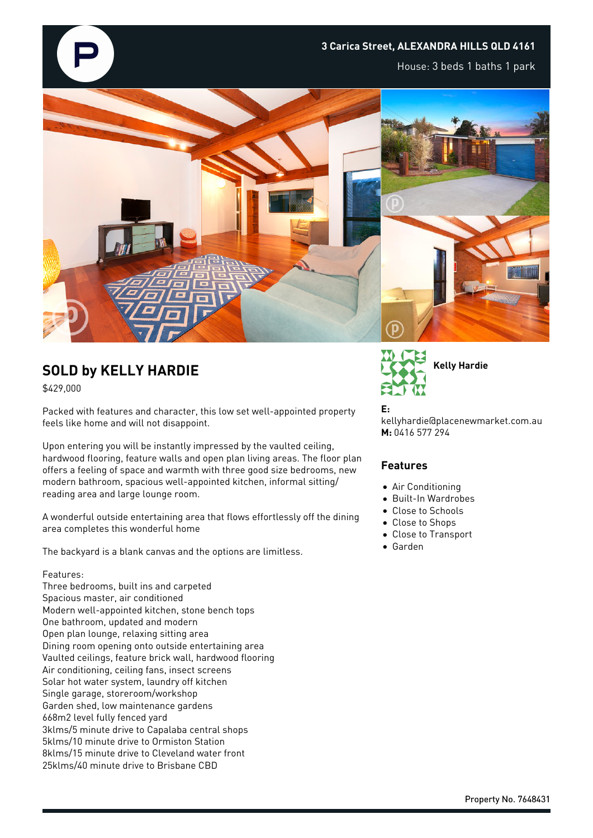

House: 3 beds 1 baths 1 park



## **SOLD by KELLY HARDIE**

\$429,000

Packed with features and character, this low set well-appointed property feels like home and will not disappoint.

Upon entering you will be instantly impressed by the vaulted ceiling, hardwood flooring, feature walls and open plan living areas. The floor plan offers a feeling of space and warmth with three good size bedrooms, new modern bathroom, spacious well-appointed kitchen, informal sitting/ reading area and large lounge room.

A wonderful outside entertaining area that flows effortlessly off the dining area completes this wonderful home

The backyard is a blank canvas and the options are limitless.

## Features:

Three bedrooms, built ins and carpeted Spacious master, air conditioned Modern well-appointed kitchen, stone bench tops One bathroom, updated and modern Open plan lounge, relaxing sitting area Dining room opening onto outside entertaining area Vaulted ceilings, feature brick wall, hardwood flooring Air conditioning, ceiling fans, insect screens Solar hot water system, laundry off kitchen Single garage, storeroom/workshop Garden shed, low maintenance gardens 668m2 level fully fenced yard 3klms/5 minute drive to Capalaba central shops 5klms/10 minute drive to Ormiston Station 8klms/15 minute drive to Cleveland water front 25klms/40 minute drive to Brisbane CBD



**E:** kellyhardie@placenewmarket.com.au **M:** 0416 577 294

## **Features**

- Air Conditioning
- Built-In Wardrobes
- Close to Schools
- Close to Shops
- Close to Transport
- Garden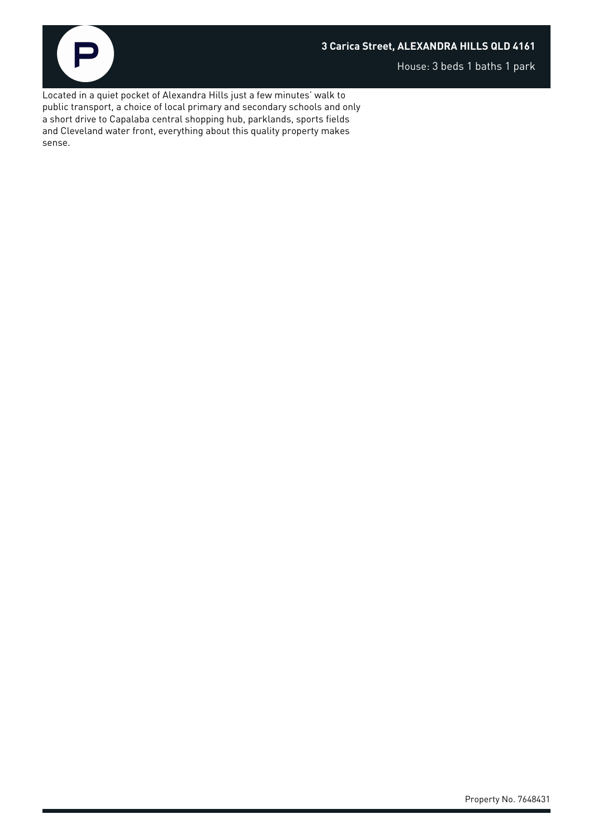

House: 3 beds 1 baths 1 park

Located in a quiet pocket of Alexandra Hills just a few minutes' walk to public transport, a choice of local primary and secondary schools and only a short drive to Capalaba central shopping hub, parklands, sports fields and Cleveland water front, everything about this quality property makes sense.